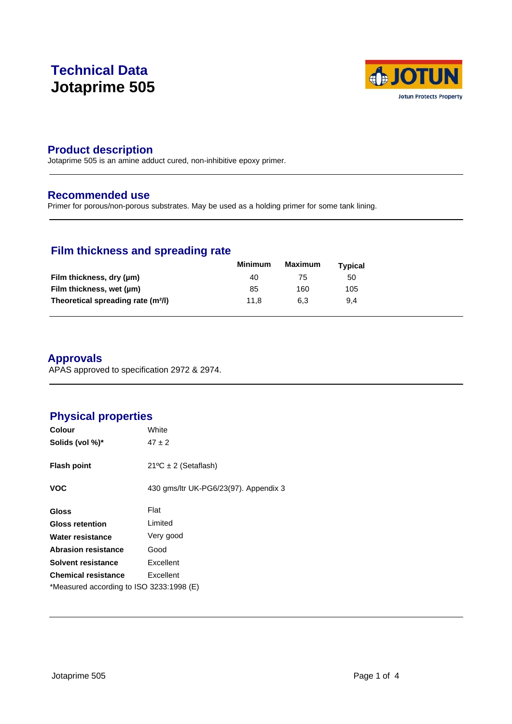# **Technical Data Jotaprime 505**



### **Product description**

Jotaprime 505 is an amine adduct cured, non-inhibitive epoxy primer.

#### **Recommended use**

Primer for porous/non-porous substrates. May be used as a holding primer for some tank lining.

### **Film thickness and spreading rate**

|                                                | <b>Minimum</b> | Maximum | <b>Typical</b> |  |
|------------------------------------------------|----------------|---------|----------------|--|
| Film thickness, dry (µm)                       | 40             | 75      | 50             |  |
| Film thickness, wet (µm)                       | 85             | 160     | 105            |  |
| Theoretical spreading rate (m <sup>2</sup> /l) | 11.8           | 6.3     | 9.4            |  |

### **Approvals**

APAS approved to specification 2972 & 2974.

## **Physical properties**

| <b>Colour</b>                            | White                                 |
|------------------------------------------|---------------------------------------|
| Solids (vol %)*                          | $47 \pm 2$                            |
|                                          |                                       |
| <b>Flash point</b>                       | $21^{\circ}C \pm 2$ (Setaflash)       |
|                                          |                                       |
| <b>VOC</b>                               | 430 gms/ltr UK-PG6/23(97). Appendix 3 |
| <b>Gloss</b>                             | Flat                                  |
| <b>Gloss retention</b>                   | Limited                               |
| Water resistance                         | Very good                             |
| <b>Abrasion resistance</b>               | Good                                  |
| Solvent resistance                       | Excellent                             |
| <b>Chemical resistance</b>               | Excellent                             |
| *Measured according to ISO 3233:1998 (E) |                                       |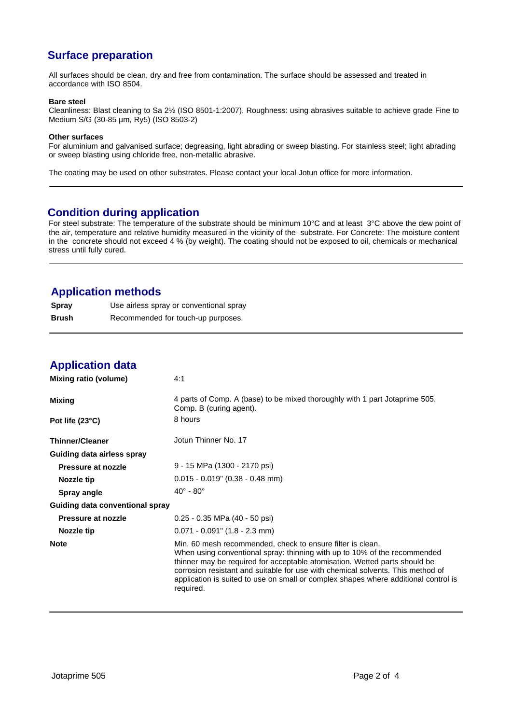# **Surface preparation**

All surfaces should be clean, dry and free from contamination. The surface should be assessed and treated in accordance with ISO 8504.

#### **Bare steel**

Cleanliness: Blast cleaning to Sa 2½ (ISO 8501-1:2007). Roughness: using abrasives suitable to achieve grade Fine to Medium S/G (30-85 µm, Ry5) (ISO 8503-2)

#### **Other surfaces**

For aluminium and galvanised surface; degreasing, light abrading or sweep blasting. For stainless steel; light abrading or sweep blasting using chloride free, non-metallic abrasive.

The coating may be used on other substrates. Please contact your local Jotun office for more information.

### **Condition during application**

For steel substrate: The temperature of the substrate should be minimum 10°C and at least 3°C above the dew point of the air, temperature and relative humidity measured in the vicinity of the substrate. For Concrete: The moisture content in the concrete should not exceed 4 % (by weight). The coating should not be exposed to oil, chemicals or mechanical stress until fully cured.

### **Application methods**

| <b>Spray</b> | Use airless spray or conventional spray |
|--------------|-----------------------------------------|
| Brush        | Recommended for touch-up purposes.      |

### **Application data**

| Mixing ratio (volume)           | 4:1                                                                                                                                                                                                                                                                                                                                                                                                          |
|---------------------------------|--------------------------------------------------------------------------------------------------------------------------------------------------------------------------------------------------------------------------------------------------------------------------------------------------------------------------------------------------------------------------------------------------------------|
| Mixing                          | 4 parts of Comp. A (base) to be mixed thoroughly with 1 part Jotaprime 505,<br>Comp. B (curing agent).                                                                                                                                                                                                                                                                                                       |
| Pot life $(23^{\circ}C)$        | 8 hours                                                                                                                                                                                                                                                                                                                                                                                                      |
| <b>Thinner/Cleaner</b>          | Jotun Thinner No. 17                                                                                                                                                                                                                                                                                                                                                                                         |
| Guiding data airless spray      |                                                                                                                                                                                                                                                                                                                                                                                                              |
| Pressure at nozzle              | 9 - 15 MPa (1300 - 2170 psi)                                                                                                                                                                                                                                                                                                                                                                                 |
| Nozzle tip                      | $0.015 - 0.019$ " (0.38 - 0.48 mm)                                                                                                                                                                                                                                                                                                                                                                           |
| Spray angle                     | $40^\circ$ - $80^\circ$                                                                                                                                                                                                                                                                                                                                                                                      |
| Guiding data conventional spray |                                                                                                                                                                                                                                                                                                                                                                                                              |
| Pressure at nozzle              | 0.25 - 0.35 MPa (40 - 50 psi)                                                                                                                                                                                                                                                                                                                                                                                |
| Nozzle tip                      | $0.071 - 0.091$ " (1.8 - 2.3 mm)                                                                                                                                                                                                                                                                                                                                                                             |
| <b>Note</b>                     | Min. 60 mesh recommended, check to ensure filter is clean.<br>When using conventional spray: thinning with up to 10% of the recommended<br>thinner may be required for acceptable atomisation. Wetted parts should be<br>corrosion resistant and suitable for use with chemical solvents. This method of<br>application is suited to use on small or complex shapes where additional control is<br>required. |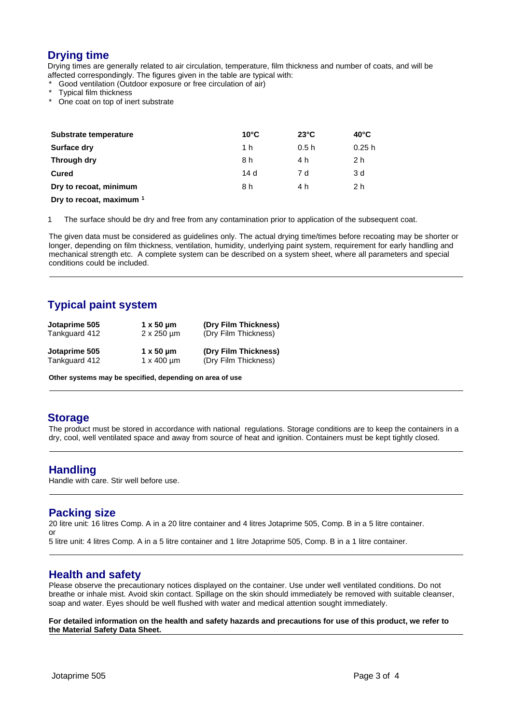## **Drying time**

Drying times are generally related to air circulation, temperature, film thickness and number of coats, and will be affected correspondingly. The figures given in the table are typical with:

Good ventilation (Outdoor exposure or free circulation of air)

- Typical film thickness
- One coat on top of inert substrate

| Substrate temperature  | $10^{\circ}$ C | $23^{\circ}$ C | $40^{\circ}$ C |
|------------------------|----------------|----------------|----------------|
| <b>Surface dry</b>     | 1 h            | 0.5h           | 0.25h          |
| Through dry            | 8 h            | 4 h            | 2 h            |
| Cured                  | 14d            | 7 d            | 3 d            |
| Dry to recoat, minimum | 8 h            | 4 h            | 2 h            |
|                        |                |                |                |

**Dry to recoat, maximum <sup>1</sup>**

1 The surface should be dry and free from any contamination prior to application of the subsequent coat.

The given data must be considered as guidelines only. The actual drying time/times before recoating may be shorter or longer, depending on film thickness, ventilation, humidity, underlying paint system, requirement for early handling and mechanical strength etc. A complete system can be described on a system sheet, where all parameters and special conditions could be included.

# **Typical paint system**

| Jotaprime 505<br>Tankguard 412 | $1 \times 50 \mu m$<br>$2 \times 250$ um | (Dry Film Thickness)<br>(Dry Film Thickness) |  |
|--------------------------------|------------------------------------------|----------------------------------------------|--|
| Jotaprime 505                  | $1 \times 50 \mu m$                      | (Dry Film Thickness)                         |  |
| Tankguard 412                  | $1 \times 400$ um                        | (Dry Film Thickness)                         |  |

**Other systems may be specified, depending on area of use**

#### **Storage**

The product must be stored in accordance with national regulations. Storage conditions are to keep the containers in a dry, cool, well ventilated space and away from source of heat and ignition. Containers must be kept tightly closed.

#### **Handling**

Handle with care. Stir well before use.

#### **Packing size**

20 litre unit: 16 litres Comp. A in a 20 litre container and 4 litres Jotaprime 505, Comp. B in a 5 litre container. or

5 litre unit: 4 litres Comp. A in a 5 litre container and 1 litre Jotaprime 505, Comp. B in a 1 litre container.

### **Health and safety**

Please observe the precautionary notices displayed on the container. Use under well ventilated conditions. Do not breathe or inhale mist. Avoid skin contact. Spillage on the skin should immediately be removed with suitable cleanser, soap and water. Eyes should be well flushed with water and medical attention sought immediately.

**For detailed information on the health and safety hazards and precautions for use of this product, we refer to the Material Safety Data Sheet.**